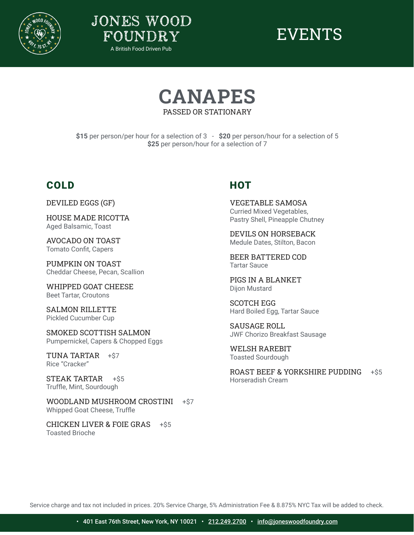







**\$15** per person/per hour for a selection of 3 - **\$20** per person/hour for a selection of 5 **\$25** per person/hour for a selection of 7

#### COLD

DEVILED EGGS (GF)

HOUSE MADE RICOTTA Aged Balsamic, Toast

AVOCADO ON TOAST Tomato Confit, Capers

PUMPKIN ON TOAST Cheddar Cheese, Pecan, Scallion

WHIPPED GOAT CHEESE Beet Tartar, Croutons

SALMON RILLETTE Pickled Cucumber Cup

SMOKED SCOTTISH SALMON Pumpernickel, Capers & Chopped Eggs

TUNA TARTAR +\$7 Rice "Cracker"

STEAK TARTAR +\$5 Truffle, Mint, Sourdough

WOODLAND MUSHROOM CROSTINI +\$7 Whipped Goat Cheese, Truffle

CHICKEN LIVER & FOIE GRAS +\$5 Toasted Brioche

#### **HOT**

VEGETABLE SAMOSA Curried Mixed Vegetables, Pastry Shell, Pineapple Chutney

DEVILS ON HORSEBACK Medule Dates, Stilton, Bacon

BEER BATTERED COD Tartar Sauce

PIGS IN A BLANKET Dijon Mustard

SCOTCH EGG Hard Boiled Egg, Tartar Sauce

SAUSAGE ROLL JWF Chorizo Breakfast Sausage

WELSH RAREBIT Toasted Sourdough

ROAST BEEF & YORKSHIRE PUDDING +\$5 Horseradish Cream

Service charge and tax not included in prices. 20% Service Charge, 5% Administration Fee & 8.875% NYC Tax will be added to check.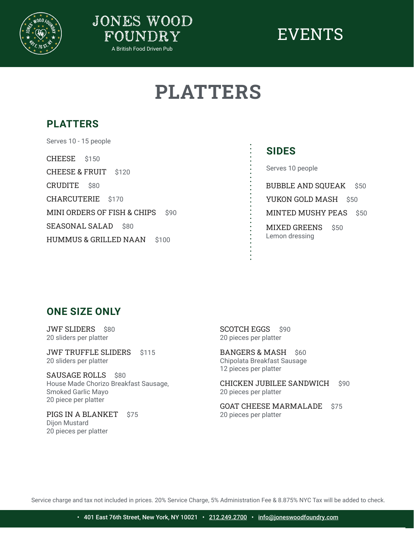



### EVENTS

### **PLATTERS**

### **PLATTERS**

CHEESE \$150 CHEESE & FRUIT \$120 CRUDITE \$80 CHARCUTERIE \$170 MINI ORDERS OF FISH & CHIPS \$90 SEASONAL SALAD \$80 HUMMUS & GRILLED NAAN \$100 Serves 10 - 15 people

#### **SIDES**

Serves 10 people

BUBBLE AND SQUEAK \$50

YUKON GOLD MASH \$50

MINTED MUSHY PEAS \$50

MIXED GREENS \$50 Lemon dressing

#### **ONE SIZE ONLY**

JWF SLIDERS \$80 20 sliders per platter

JWF TRUFFLE SLIDERS \$115 20 sliders per platter

SAUSAGE ROLLS \$80 House Made Chorizo Breakfast Sausage, Smoked Garlic Mayo 20 piece per platter

PIGS IN A BLANKET \$75 Dijon Mustard 20 pieces per platter

SCOTCH EGGS \$90 20 pieces per platter

 $\ddot{\phantom{a}}$ 

BANGERS & MASH \$60 Chipolata Breakfast Sausage 12 pieces per platter

CHICKEN JUBILEE SANDWICH \$90 20 pieces per platter

GOAT CHEESE MARMALADE \$75 20 pieces per platter

Service charge and tax not included in prices. 20% Service Charge, 5% Administration Fee & 8.875% NYC Tax will be added to check.